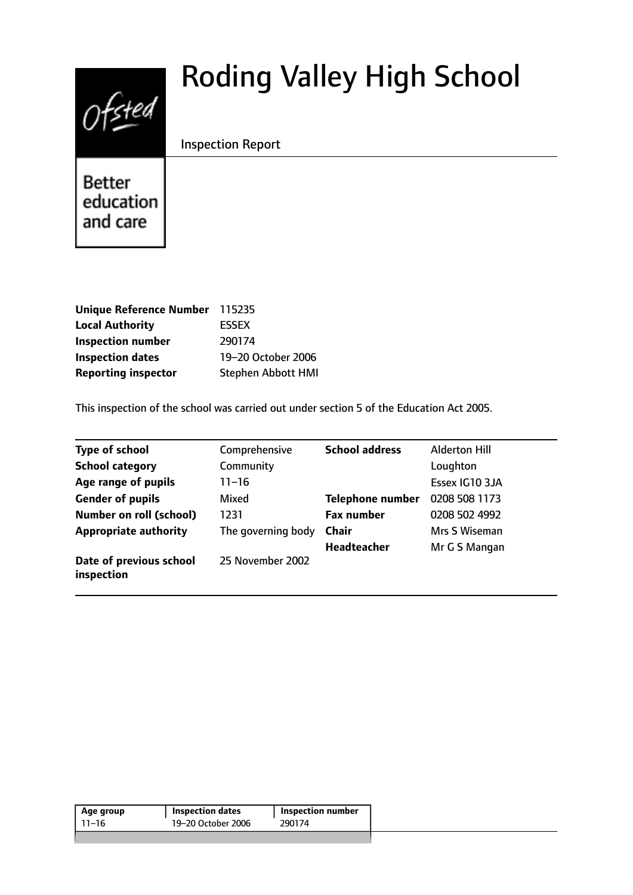# Roding Valley High School



Inspection Report

**Better** education and care

| Unique Reference Number 115235 |                           |
|--------------------------------|---------------------------|
| <b>Local Authority</b>         | <b>ESSEX</b>              |
| <b>Inspection number</b>       | 290174                    |
| <b>Inspection dates</b>        | 19-20 October 2006        |
| <b>Reporting inspector</b>     | <b>Stephen Abbott HMI</b> |

This inspection of the school was carried out under section 5 of the Education Act 2005.

| <b>Type of school</b>                 | Comprehensive      | <b>School address</b>   | <b>Alderton Hill</b> |
|---------------------------------------|--------------------|-------------------------|----------------------|
| <b>School category</b>                | Community          |                         | Loughton             |
| Age range of pupils                   | $11 - 16$          |                         | Essex IG10 3JA       |
| <b>Gender of pupils</b>               | Mixed              | <b>Telephone number</b> | 0208 508 1173        |
| <b>Number on roll (school)</b>        | 1231               | <b>Fax number</b>       | 0208 502 4992        |
| <b>Appropriate authority</b>          | The governing body | <b>Chair</b>            | Mrs S Wiseman        |
|                                       |                    | <b>Headteacher</b>      | Mr G S Mangan        |
| Date of previous school<br>inspection | 25 November 2002   |                         |                      |

| Age group | <b>Inspection dates</b> | <b>Inspection number</b> |
|-----------|-------------------------|--------------------------|
| 11–16     | 19-20 October 2006      | 290174                   |
|           |                         |                          |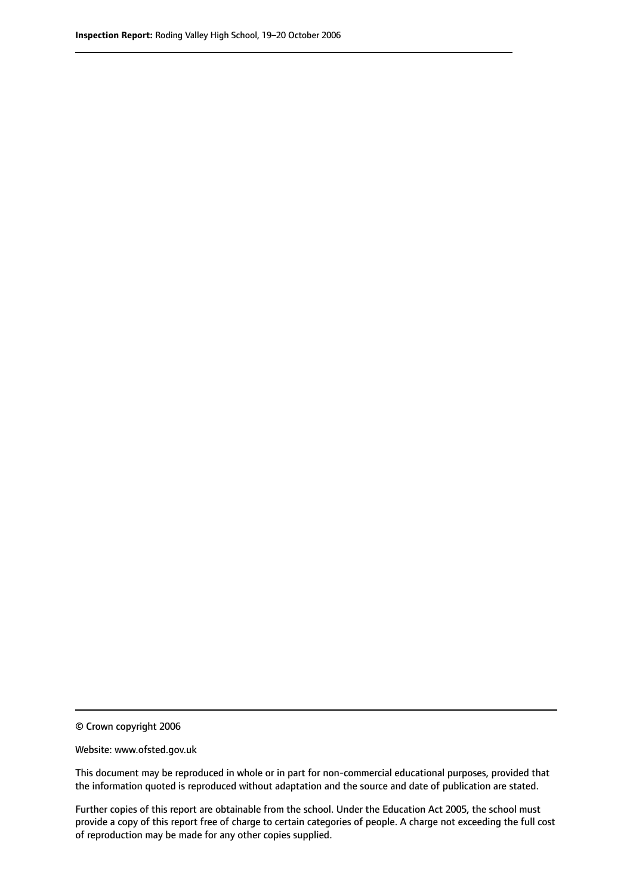© Crown copyright 2006

Website: www.ofsted.gov.uk

This document may be reproduced in whole or in part for non-commercial educational purposes, provided that the information quoted is reproduced without adaptation and the source and date of publication are stated.

Further copies of this report are obtainable from the school. Under the Education Act 2005, the school must provide a copy of this report free of charge to certain categories of people. A charge not exceeding the full cost of reproduction may be made for any other copies supplied.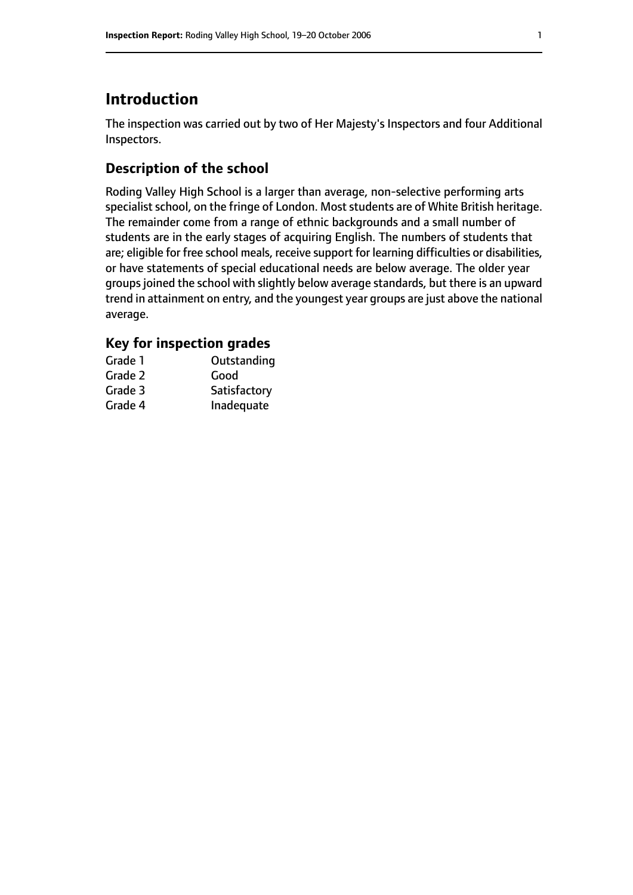## **Introduction**

The inspection was carried out by two of Her Majesty's Inspectors and four Additional Inspectors.

## **Description of the school**

Roding Valley High School is a larger than average, non-selective performing arts specialist school, on the fringe of London. Most students are of White British heritage. The remainder come from a range of ethnic backgrounds and a small number of students are in the early stages of acquiring English. The numbers of students that are; eligible for free school meals, receive support for learning difficulties or disabilities, or have statements of special educational needs are below average. The older year groupsjoined the school with slightly below average standards, but there is an upward trend in attainment on entry, and the youngest year groups are just above the national average.

### **Key for inspection grades**

| Grade 1 | Outstanding  |
|---------|--------------|
| Grade 2 | Good         |
| Grade 3 | Satisfactory |
| Grade 4 | Inadequate   |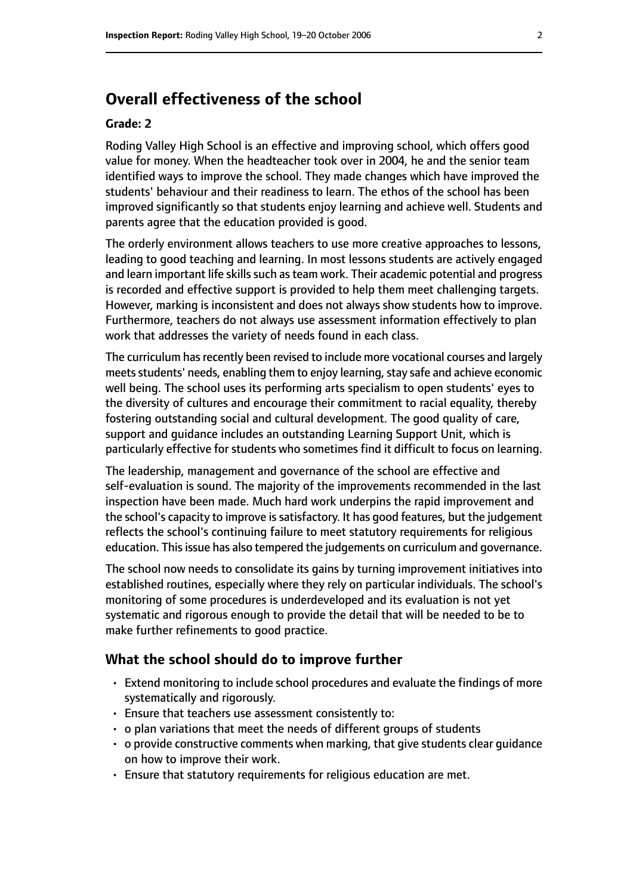## **Overall effectiveness of the school**

#### **Grade: 2**

Roding Valley High School is an effective and improving school, which offers good value for money. When the headteacher took over in 2004, he and the senior team identified ways to improve the school. They made changes which have improved the students' behaviour and their readiness to learn. The ethos of the school has been improved significantly so that students enjoy learning and achieve well. Students and parents agree that the education provided is good.

The orderly environment allows teachers to use more creative approaches to lessons, leading to good teaching and learning. In most lessons students are actively engaged and learn important life skills such as team work. Their academic potential and progress is recorded and effective support is provided to help them meet challenging targets. However, marking is inconsistent and does not always show students how to improve. Furthermore, teachers do not always use assessment information effectively to plan work that addresses the variety of needs found in each class.

The curriculum has recently been revised to include more vocational courses and largely meets students' needs, enabling them to enjoy learning, stay safe and achieve economic well being. The school uses its performing arts specialism to open students' eyes to the diversity of cultures and encourage their commitment to racial equality, thereby fostering outstanding social and cultural development. The good quality of care, support and guidance includes an outstanding Learning Support Unit, which is particularly effective for students who sometimes find it difficult to focus on learning.

The leadership, management and governance of the school are effective and self-evaluation is sound. The majority of the improvements recommended in the last inspection have been made. Much hard work underpins the rapid improvement and the school's capacity to improve is satisfactory. It has good features, but the judgement reflects the school's continuing failure to meet statutory requirements for religious education. This issue has also tempered the judgements on curriculum and governance.

The school now needs to consolidate its gains by turning improvement initiatives into established routines, especially where they rely on particular individuals. The school's monitoring of some procedures is underdeveloped and its evaluation is not yet systematic and rigorous enough to provide the detail that will be needed to be to make further refinements to good practice.

#### **What the school should do to improve further**

- Extend monitoring to include school procedures and evaluate the findings of more systematically and rigorously.
- Ensure that teachers use assessment consistently to:
- o plan variations that meet the needs of different groups of students
- o provide constructive comments when marking, that give students clear guidance on how to improve their work.
- Ensure that statutory requirements for religious education are met.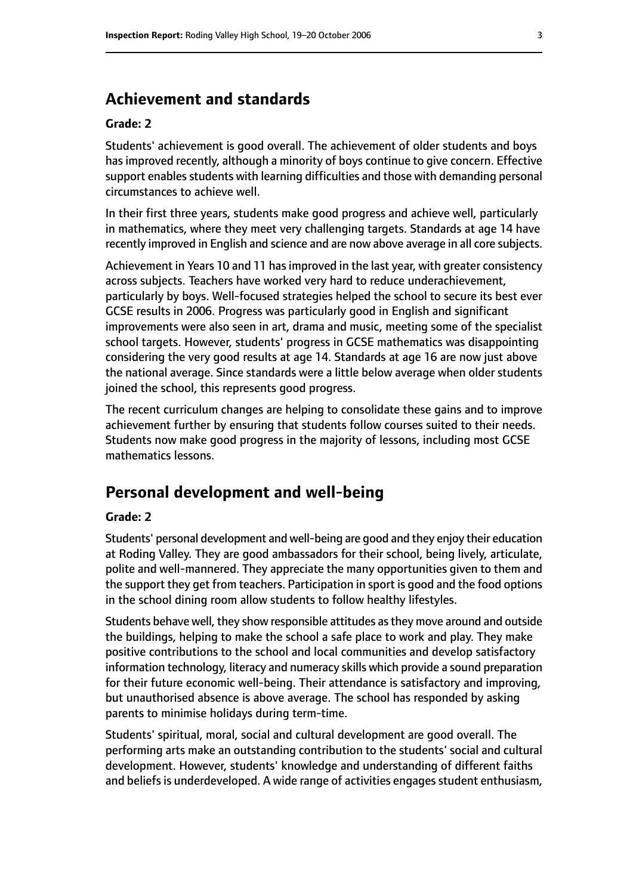## **Achievement and standards**

#### **Grade: 2**

Students' achievement is good overall. The achievement of older students and boys has improved recently, although a minority of boys continue to give concern. Effective support enables students with learning difficulties and those with demanding personal circumstances to achieve well.

In their first three years, students make good progress and achieve well, particularly in mathematics, where they meet very challenging targets. Standards at age 14 have recently improved in English and science and are now above average in all core subjects.

Achievement in Years 10 and 11 has improved in the last year, with greater consistency across subjects. Teachers have worked very hard to reduce underachievement, particularly by boys. Well-focused strategies helped the school to secure its best ever GCSE results in 2006. Progress was particularly good in English and significant improvements were also seen in art, drama and music, meeting some of the specialist school targets. However, students' progress in GCSE mathematics was disappointing considering the very good results at age 14. Standards at age 16 are now just above the national average. Since standards were a little below average when older students joined the school, this represents good progress.

The recent curriculum changes are helping to consolidate these gains and to improve achievement further by ensuring that students follow courses suited to their needs. Students now make good progress in the majority of lessons, including most GCSE mathematics lessons.

## **Personal development and well-being**

#### **Grade: 2**

Students' personal development and well-being are good and they enjoy their education at Roding Valley. They are good ambassadors for their school, being lively, articulate, polite and well-mannered. They appreciate the many opportunities given to them and the support they get from teachers. Participation in sport is good and the food options in the school dining room allow students to follow healthy lifestyles.

Students behave well, they show responsible attitudes asthey move around and outside the buildings, helping to make the school a safe place to work and play. They make positive contributions to the school and local communities and develop satisfactory information technology, literacy and numeracy skills which provide a sound preparation for their future economic well-being. Their attendance is satisfactory and improving, but unauthorised absence is above average. The school has responded by asking parents to minimise holidays during term-time.

Students' spiritual, moral, social and cultural development are good overall. The performing arts make an outstanding contribution to the students' social and cultural development. However, students' knowledge and understanding of different faiths and beliefs is underdeveloped. A wide range of activities engages student enthusiasm,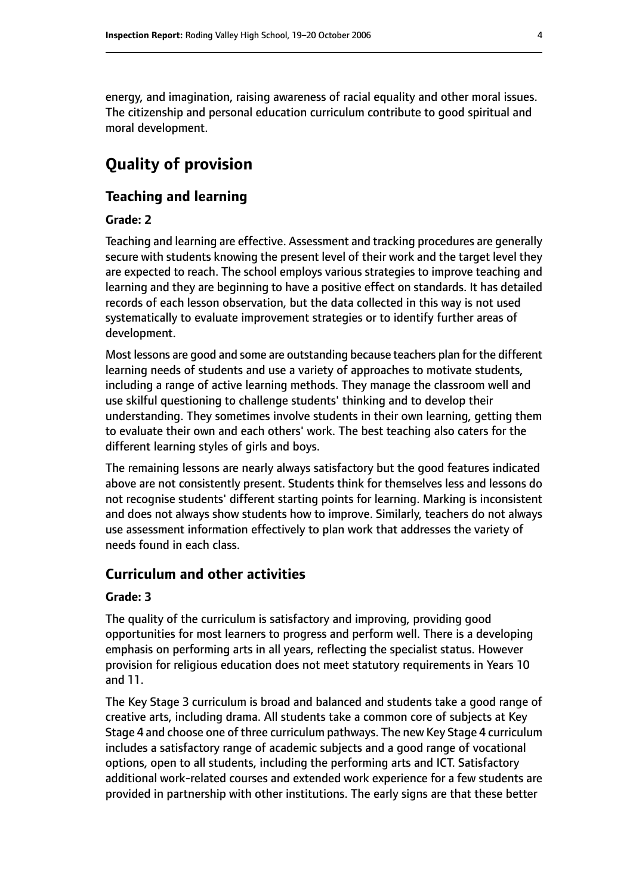energy, and imagination, raising awareness of racial equality and other moral issues. The citizenship and personal education curriculum contribute to good spiritual and moral development.

# **Quality of provision**

## **Teaching and learning**

#### **Grade: 2**

Teaching and learning are effective. Assessment and tracking procedures are generally secure with students knowing the present level of their work and the target level they are expected to reach. The school employs various strategies to improve teaching and learning and they are beginning to have a positive effect on standards. It has detailed records of each lesson observation, but the data collected in this way is not used systematically to evaluate improvement strategies or to identify further areas of development.

Most lessons are good and some are outstanding because teachers plan for the different learning needs of students and use a variety of approaches to motivate students, including a range of active learning methods. They manage the classroom well and use skilful questioning to challenge students' thinking and to develop their understanding. They sometimes involve students in their own learning, getting them to evaluate their own and each others' work. The best teaching also caters for the different learning styles of girls and boys.

The remaining lessons are nearly always satisfactory but the good features indicated above are not consistently present. Students think for themselves less and lessons do not recognise students' different starting points for learning. Marking is inconsistent and does not always show students how to improve. Similarly, teachers do not always use assessment information effectively to plan work that addresses the variety of needs found in each class.

## **Curriculum and other activities**

#### **Grade: 3**

The quality of the curriculum is satisfactory and improving, providing good opportunities for most learners to progress and perform well. There is a developing emphasis on performing arts in all years, reflecting the specialist status. However provision for religious education does not meet statutory requirements in Years 10 and 11.

The Key Stage 3 curriculum is broad and balanced and students take a good range of creative arts, including drama. All students take a common core of subjects at Key Stage 4 and choose one of three curriculum pathways. The new Key Stage 4 curriculum includes a satisfactory range of academic subjects and a good range of vocational options, open to all students, including the performing arts and ICT. Satisfactory additional work-related courses and extended work experience for a few students are provided in partnership with other institutions. The early signs are that these better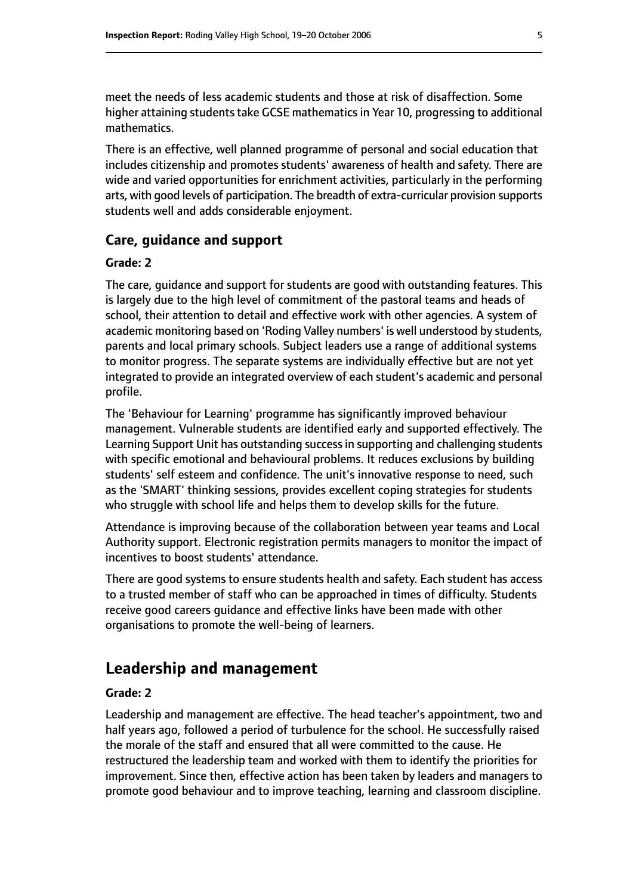meet the needs of less academic students and those at risk of disaffection. Some higher attaining students take GCSE mathematics in Year 10, progressing to additional mathematics.

There is an effective, well planned programme of personal and social education that includes citizenship and promotes students' awareness of health and safety. There are wide and varied opportunities for enrichment activities, particularly in the performing arts, with good levels of participation. The breadth of extra-curricular provision supports students well and adds considerable enjoyment.

#### **Care, guidance and support**

#### **Grade: 2**

The care, guidance and support for students are good with outstanding features. This is largely due to the high level of commitment of the pastoral teams and heads of school, their attention to detail and effective work with other agencies. A system of academic monitoring based on 'Roding Valley numbers' is well understood by students, parents and local primary schools. Subject leaders use a range of additional systems to monitor progress. The separate systems are individually effective but are not yet integrated to provide an integrated overview of each student's academic and personal profile.

The 'Behaviour for Learning' programme has significantly improved behaviour management. Vulnerable students are identified early and supported effectively. The Learning Support Unit has outstanding successin supporting and challenging students with specific emotional and behavioural problems. It reduces exclusions by building students' self esteem and confidence. The unit's innovative response to need, such as the 'SMART' thinking sessions, provides excellent coping strategies for students who struggle with school life and helps them to develop skills for the future.

Attendance is improving because of the collaboration between year teams and Local Authority support. Electronic registration permits managers to monitor the impact of incentives to boost students' attendance.

There are good systems to ensure students health and safety. Each student has access to a trusted member of staff who can be approached in times of difficulty. Students receive good careers guidance and effective links have been made with other organisations to promote the well-being of learners.

## **Leadership and management**

#### **Grade: 2**

Leadership and management are effective. The head teacher's appointment, two and half years ago, followed a period of turbulence for the school. He successfully raised the morale of the staff and ensured that all were committed to the cause. He restructured the leadership team and worked with them to identify the priorities for improvement. Since then, effective action has been taken by leaders and managers to promote good behaviour and to improve teaching, learning and classroom discipline.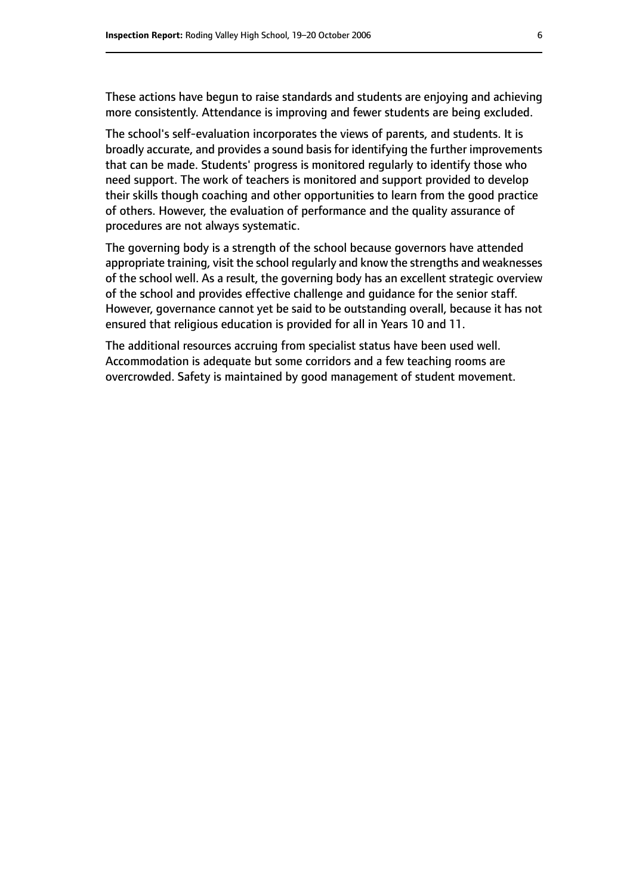These actions have begun to raise standards and students are enjoying and achieving more consistently. Attendance is improving and fewer students are being excluded.

The school's self-evaluation incorporates the views of parents, and students. It is broadly accurate, and provides a sound basis for identifying the further improvements that can be made. Students' progress is monitored regularly to identify those who need support. The work of teachers is monitored and support provided to develop their skills though coaching and other opportunities to learn from the good practice of others. However, the evaluation of performance and the quality assurance of procedures are not always systematic.

The governing body is a strength of the school because governors have attended appropriate training, visit the school regularly and know the strengths and weaknesses of the school well. As a result, the governing body has an excellent strategic overview of the school and provides effective challenge and guidance for the senior staff. However, governance cannot yet be said to be outstanding overall, because it has not ensured that religious education is provided for all in Years 10 and 11.

The additional resources accruing from specialist status have been used well. Accommodation is adequate but some corridors and a few teaching rooms are overcrowded. Safety is maintained by good management of student movement.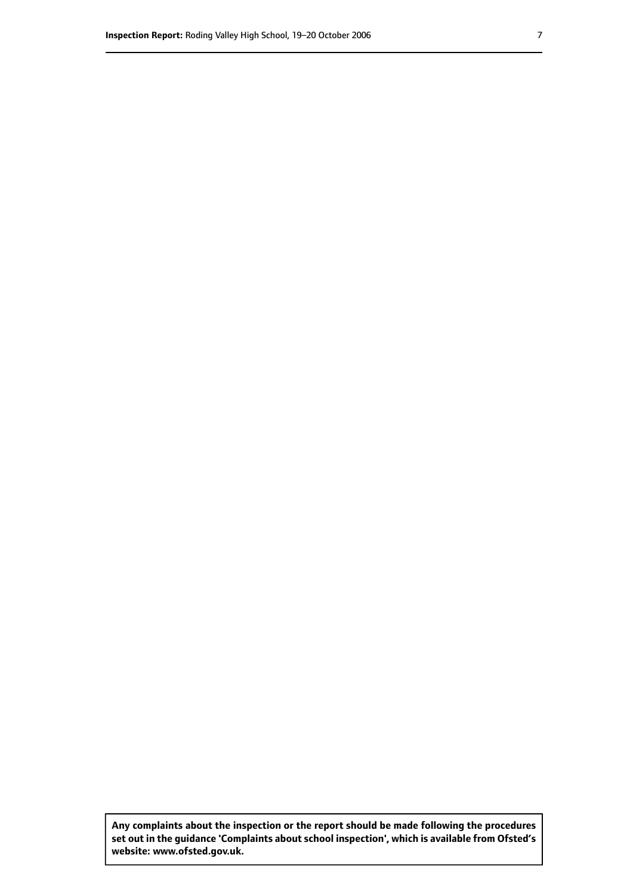**Any complaints about the inspection or the report should be made following the procedures set out inthe guidance 'Complaints about school inspection', whichis available from Ofsted's website: www.ofsted.gov.uk.**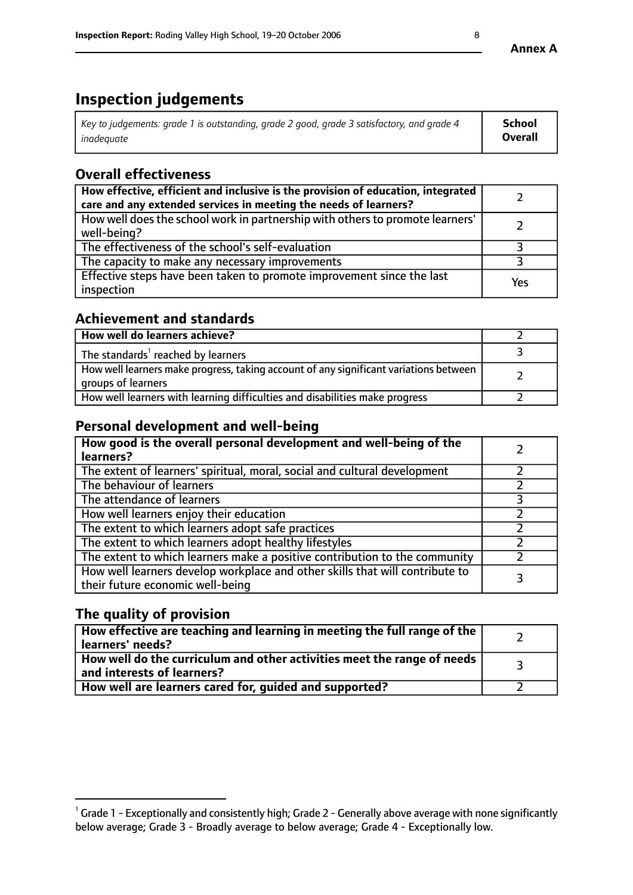# **Inspection judgements**

| Key to judgements: grade 1 is outstanding, grade 2 good, grade 3 satisfactory, and grade 4 | School         |
|--------------------------------------------------------------------------------------------|----------------|
| inadeauate                                                                                 | <b>Overall</b> |

## **Overall effectiveness**

| How effective, efficient and inclusive is the provision of education, integrated<br>care and any extended services in meeting the needs of learners? |     |
|------------------------------------------------------------------------------------------------------------------------------------------------------|-----|
| How well does the school work in partnership with others to promote learners'<br>well-being?                                                         |     |
| The effectiveness of the school's self-evaluation                                                                                                    |     |
| The capacity to make any necessary improvements                                                                                                      |     |
| Effective steps have been taken to promote improvement since the last<br>inspection                                                                  | Yes |

## **Achievement and standards**

| How well do learners achieve?                                                                               |  |
|-------------------------------------------------------------------------------------------------------------|--|
| The standards <sup>1</sup> reached by learners                                                              |  |
| How well learners make progress, taking account of any significant variations between<br>groups of learners |  |
| How well learners with learning difficulties and disabilities make progress                                 |  |

## **Personal development and well-being**

| How good is the overall personal development and well-being of the<br>learners?                                  |   |
|------------------------------------------------------------------------------------------------------------------|---|
| The extent of learners' spiritual, moral, social and cultural development                                        |   |
| The behaviour of learners                                                                                        |   |
| The attendance of learners                                                                                       |   |
| How well learners enjoy their education                                                                          |   |
| The extent to which learners adopt safe practices                                                                |   |
| The extent to which learners adopt healthy lifestyles                                                            |   |
| The extent to which learners make a positive contribution to the community                                       |   |
| How well learners develop workplace and other skills that will contribute to<br>their future economic well-being | 3 |

## **The quality of provision**

| How effective are teaching and learning in meeting the full range of the<br>learners' needs?                        |  |
|---------------------------------------------------------------------------------------------------------------------|--|
| $\mid$ How well do the curriculum and other activities meet the range of needs $\mid$<br>and interests of learners? |  |
| How well are learners cared for, guided and supported?                                                              |  |

 $^1$  Grade 1 - Exceptionally and consistently high; Grade 2 - Generally above average with none significantly below average; Grade 3 - Broadly average to below average; Grade 4 - Exceptionally low.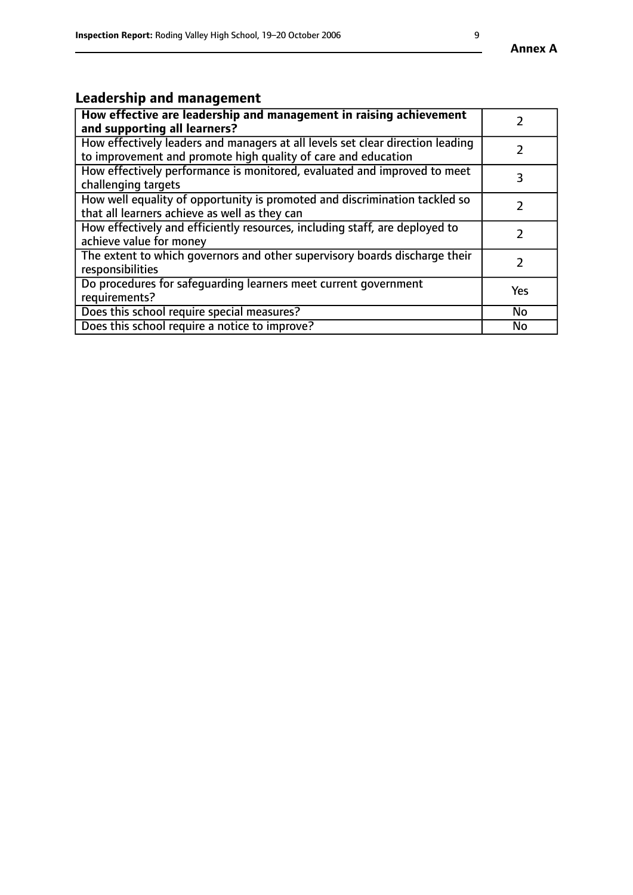#### **Annex A**

# **Leadership and management**

| How effective are leadership and management in raising achievement<br>and supporting all learners?                                              |               |
|-------------------------------------------------------------------------------------------------------------------------------------------------|---------------|
| How effectively leaders and managers at all levels set clear direction leading<br>to improvement and promote high quality of care and education |               |
| How effectively performance is monitored, evaluated and improved to meet<br>challenging targets                                                 | 3             |
| How well equality of opportunity is promoted and discrimination tackled so<br>that all learners achieve as well as they can                     |               |
| How effectively and efficiently resources, including staff, are deployed to<br>achieve value for money                                          | $\mathcal{P}$ |
| The extent to which governors and other supervisory boards discharge their<br>responsibilities                                                  |               |
| Do procedures for safequarding learners meet current government<br>requirements?                                                                | Yes           |
| Does this school require special measures?                                                                                                      | <b>No</b>     |
| Does this school require a notice to improve?                                                                                                   | No            |